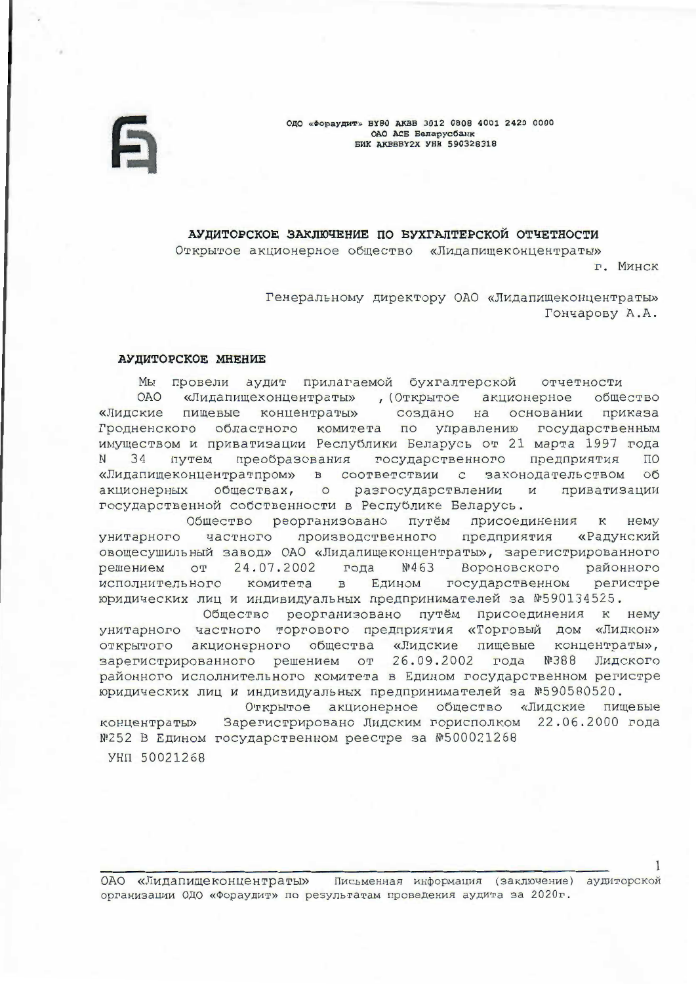ОДО «Фораудит» BY80 AKBB 3012 0808 4001 2420 0000 ОАО АСБ Беларусбанк **БИК АКВВВҮ2Х УНИ 590328318** 



## АУДИТОРСКОЕ ЗАКЛЮЧЕНИЕ ПО БУХГАЛТЕРСКОЙ ОТЧЕТНОСТИ

Открытое акционерное общество «Лидапищеконцентраты» г. Минск

> Генеральному директору ОАО «Лидапищеконцентраты» Гончарову А.А.

#### АУДИТОРСКОЕ МНЕНИЕ

Мы провели аудит прилагаемой бухгалтерской отчетности **OAO** «Лидапищеконцентраты» , (Открытое акционерное общество «Лидские пищевые концентраты» создано на основании приказа Гродненского областного комитета по управлению государственным имуществом и приватизации Республики Беларусь от 21 марта 1997 года  $N$ 34 путем преобразования государственного предприятия  $\Pi$ O «Лидапищеконцентратпром» в соответствии с законодательством об обществах, о разгосударствлении акционерных  $M$ приватизации государственной собственности в Республике Беларусь.

Общество реорганизовано путём присоединения нему  $K$ частного производственного предприятия «Радунский унитарного овощесушильный завод» ОАО «Лидапищеконцентраты», зарегистрированного 24.07.2002  $N:463$ Вороновского решением от года районного Едином исполнительного комитета  $\mathbf{B}$ государственном регистре юридических лиц и индивидуальных предпринимателей за №590134525.

Общество реорганизовано путём присоединения к нему унитарного частного торгового предприятия «Торговый дом «Лидкон» открытого акционерного общества «Лидские пищевые концентраты», зарегистрированного решением от 26.09.2002 года №388 Лидского районного исполнительного комитета в Едином государственном регистре юридических лиц и индивидуальных предпринимателей за №590580520.

Открытое акционерное общество «Лидские пищевые концентраты» Зарегистрировано Лидским горисполком 22.06.2000 года №252 В Едином государственном реестре за №500021268

**УНП 50021268**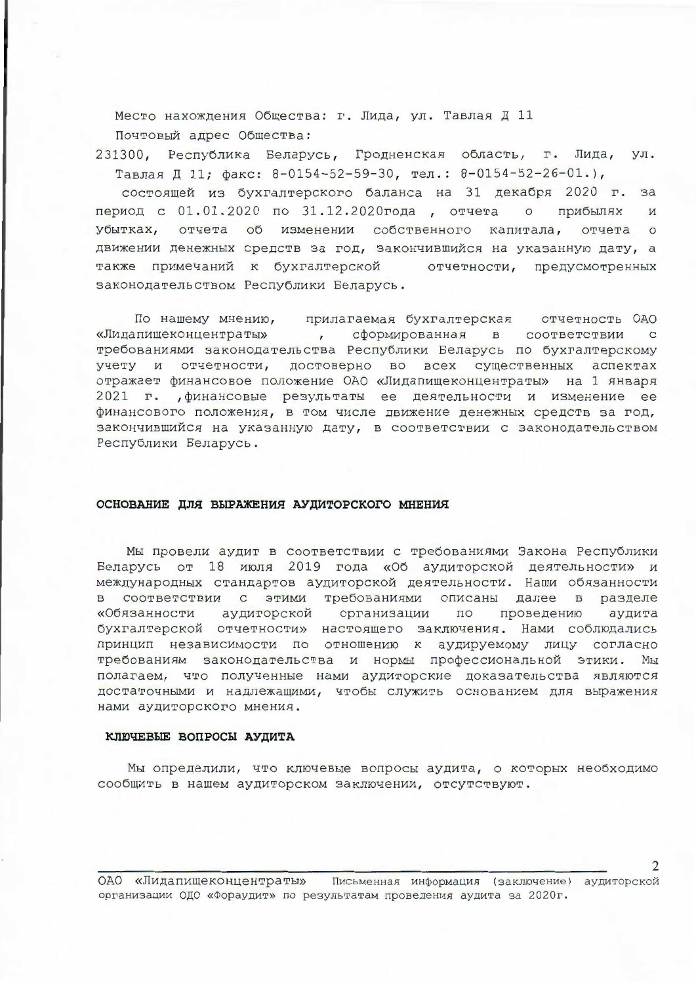Место нахождения Общества: г. Лида, ул. Тавлая Д 11 Почтовый адрес Общества:

231300, Республика Беларусь, Гродненская область, г. Лида, ул. Тавлая Д 11; факс: 8-0154-52-59-30, тел.: 8-0154-52-26-01.),

состоящей из бухгалтерского баланса на 31 декабря 2020 г. за период с 01.01.2020 по 31.12.2020года, отчета о прибылях  $\mathbf M$ отчета об изменении собственного капитала, отчета убытках,  $\circ$ движении денежных средств за год, закончившийся на указанную дату, а также примечаний к бухгалтерской отчетности, предусмотренных законодательством Республики Беларусь.

По нашему мнению, прилагаемая бухгалтерская отчетность ОАО , сформированная в соответствии с «Лидапищеконцентраты» требованиями законодательства Республики Беларусь по бухгалтерскому учету и отчетности, достоверно во всех существенных аспектах отражает финансовое положение ОАО «Лидапищеконцентраты» на 1 января 2021 г. , финансовые результаты ее деятельности и изменение ее финансового положения, в том числе движение денежных средств за год, закончившийся на указанную дату, в соответствии с законодательством Республики Беларусь.

### ОСНОВАНИЕ ДЛЯ ВЫРАЖЕНИЯ АУДИТОРСКОГО МНЕНИЯ

Мы провели аудит в соответствии с требованиями Закона Республики Беларусь от 18 июля 2019 года «Об аудиторской деятельности» и международных стандартов аудиторской деятельности. Наши обязанности соответствии с этими требованиями описаны далее в разделе  $\mathbf{B}$ аудиторской организации по проведению аудита «Обязанности бухгалтерской отчетности» настоящего заключения. Нами соблюдались принцип независимости по отношению к аудируемому лицу согласно требованиям законодательства и нормы профессиональной этики. Мы полагаем, что полученные нами аудиторские доказательства являются достаточными и надлежащими, чтобы служить основанием для выражения нами аудиторского мнения.

#### КЛЮЧЕВЫЕ ВОПРОСЫ АУДИТА

Мы определили, что ключевые вопросы аудита, о которых необходимо сообщить в нашем аудиторском заключении, отсутствуют.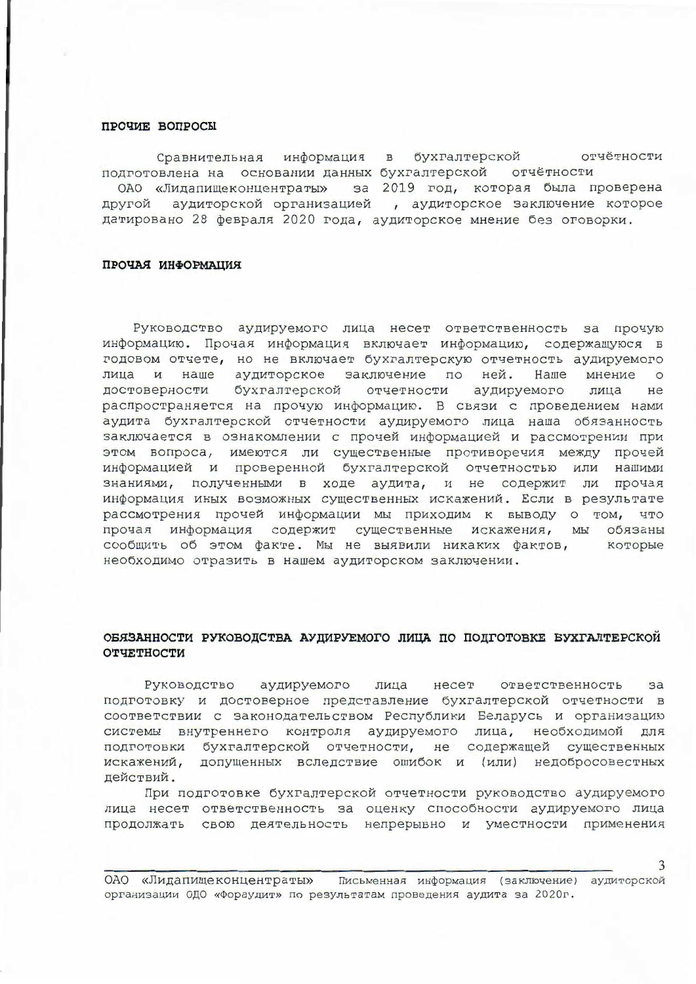### прочив вопросы

Сравнительная информация в бухгалтерской ОТЧЁТНОСТИ подготовлена на основании данных бухгалтерской отчётности

ОАО «Лидапищеконцентраты» за 2019 год, которая была проверена другой аудиторской организацией , аудиторское заключение которое датировано 28 февраля 2020 года, аудиторское мнение без оговорки.

## ПРОЧАЯ ИНФОРМАЦИЯ

Руководство аудируемого лица несет ответственность за прочую информацию. Прочая информация включает информацию, содержащуюся в годовом отчете, но не включает бухгалтерскую отчетность аудируемого лица и наше аудиторское заключение по ней. Наше мнение о достоверности бухгалтерской отчетности аудируемого лица не распространяется на прочую информацию. В связи с проведением нами аудита бухгалтерской отчетности аудируемого лица наша обязанность заключается в ознакомлении с прочей информацией и рассмотрении при этом вопроса, имеются ли существенные противоречия между прочей информацией и проверенной бухгалтерской отчетностью или нашими знаниями, полученными в ходе аудита, и не содержит ли прочая информация иных возможных существенных искажений. Если в результате рассмотрения прочей информации мы приходим к выводу о том, что прочая информация содержит существенные искажения, мы обязаны сообщить об этом факте. Мы не выявили никаких фактов, которые необходимо отразить в нашем аудиторском заключении.

## ОБЯЗАННОСТИ РУКОВОДСТВА АУДИРУЕМОГО ЛИЦА ПО ПОДГОТОВКЕ БУХГАЛТЕРСКОЙ ОТЧЕТНОСТИ

Руководство аудируемого лица несет ОТВЕТСТВЕННОСТЬ  $BA$ подготовку и достоверное представление бухгалтерской отчетности в соответствии с законодательством Республики Беларусь и организацию системы внутреннего контроля аудируемого лица, необходимой для подготовки бухгалтерской отчетности, не содержащей существенных искажений, допущенных вследствие ошибок и (или) недобросовестных действий.

При подготовке бухгалтерской отчетности руководство аудируемого лица несет ответственность за оценку способности аудируемого лица продолжать свою деятельность непрерывно и уместности применения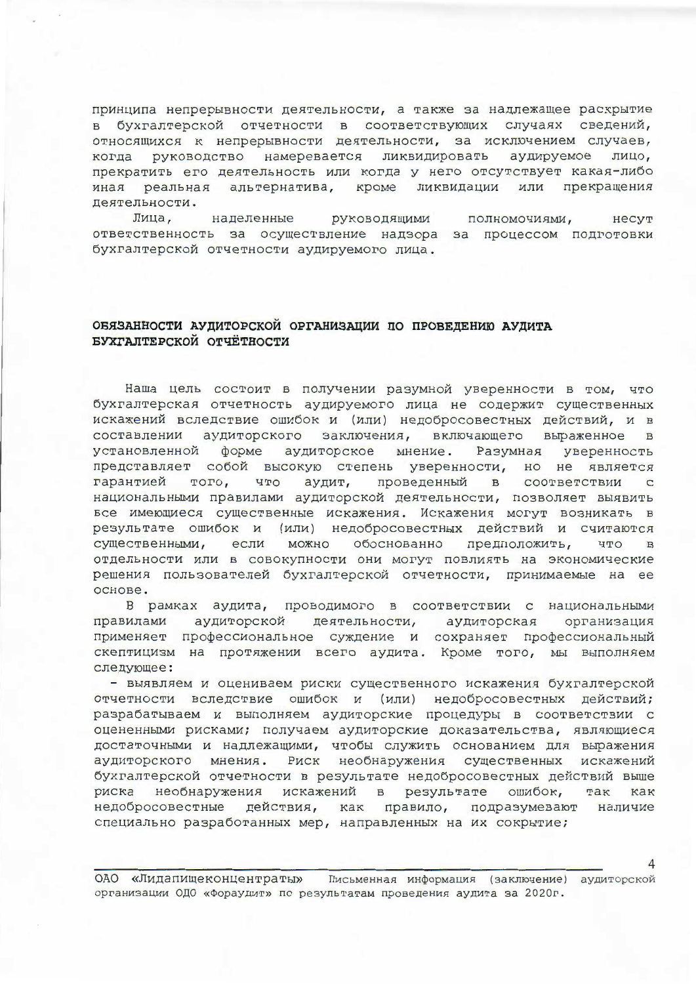принципа непрерывности деятельности, а также за надлежащее раскрытие в бухгалтерской отчетности в соответствующих случаях сведений, относящихся к непрерывности деятельности, за исключением случаев, когда руководство намеревается ликвидировать аудируемое лицо, прекратить его деятельность или когда у него отсутствует какая-либо иная реальная альтернатива, кроме ликвидации или прекращения деятельности.

Лица, руководящими полномочиями, наделенные несут ответственность за осуществление надзора за процессом подготовки бухгалтерской отчетности аудируемого лица.

# ОБЯЗАННОСТИ АУДИТОРСКОЙ ОРГАНИЗАЦИИ ПО ПРОВЕДЕНИЮ АУДИТА БУХГАЛТЕРСКОЙ ОТЧЁТНОСТИ

Наша цель состоит в получении разумной уверенности в том, что бухгалтерская отчетность аудируемого лица не содержит существенных искажений вследствие ошибок и (или) недобросовестных действий, и в составлении аудиторского заключения, включающего выраженное в установленной форме аудиторское мнение. Разумная уверенность представляет собой высокую степень уверенности, но не является гарантией того, что аудит, проведенный в соответствии  $\mathbf C$ национальными правилами аудиторской деятельности, позволяет выявить все имеющиеся существенные искажения. Искажения могут возникать в результате ошибок и (или) недобросовестных действий и считаются существенными, если можно обоснованно предположить, **YTO** B отдельности или в совокупности они могут повлиять на экономические решения пользователей бухгалтерской отчетности, принимаемые на ее основе.

В рамках аудита, проводимого в соответствии с национальными аудиторской деятельности, аудиторская организация правилами применяет профессиональное суждение и сохраняет профессиональный скептицизм на протяжении всего аудита. Кроме того, мы выполняем следующее:

- выявляем и оцениваем риски существенного искажения бухгалтерской отчетности вследствие ошибок и (или) недобросовестных действий; разрабатываем и выполняем аудиторские процедуры в соответствии с оцененными рисками; получаем аудиторские доказательства, являющиеся достаточными и надлежащими, чтобы служить основанием для выражения аудиторского мнения. Риск необнаружения существенных искажений бухгалтерской отчетности в результате недобросовестных действий выше риска необнаружения искажений в результате ошибок, так как недобросовестные действия, как правило, подразумевают наличие специально разработанных мер, направленных на их сокрытие;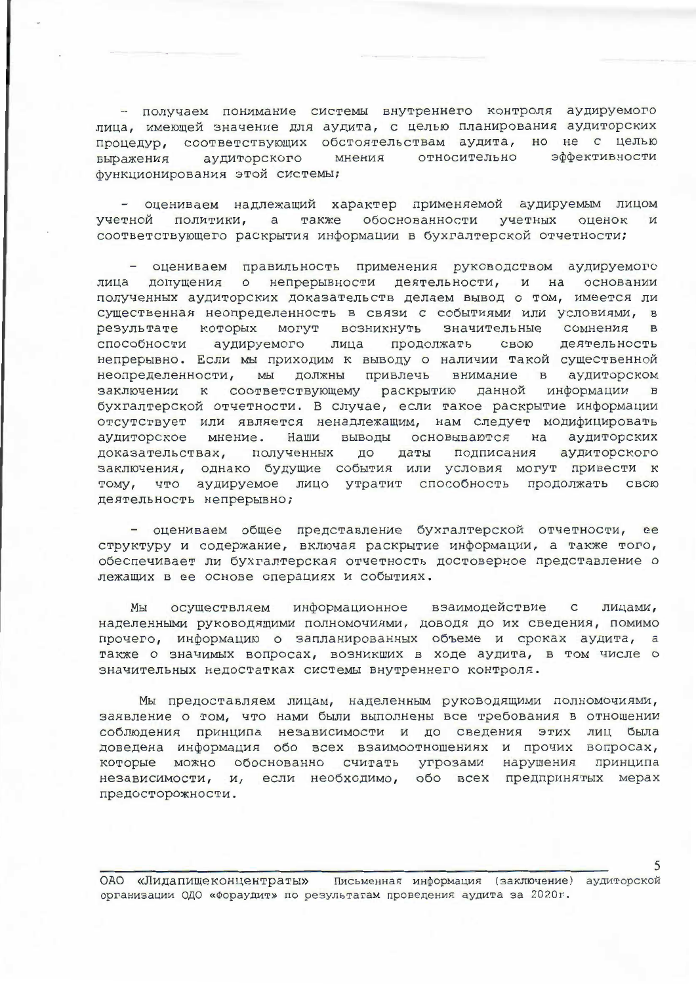- получаем понимание системы внутреннего контроля аудируемого лица, имеющей значение для аудита, с целью планирования аудиторских процедур, соответствующих обстоятельствам аудита, но не с целью мнения относительно эффективности выражения аудиторского функционирования этой системы;

- оцениваем надлежащий характер применяемой аудируемым лицом учетной политики, а также обоснованности учетных оценок  $\mathbf{N}$ соответствующего раскрытия информации в бухгалтерской отчетности;

- оцениваем правильность применения руководством аудируемого лица допущения о непрерывности деятельности, и на основании полученных аудиторских доказательств делаем вывод о том, имеется ли существенная неопределенность в связи с событиями или условиями, в результате которых могут возникнуть значительные сомнения  $\mathbf{B}$ аудируемого лица продолжать свою деятельность способности непрерывно. Если мы приходим к выводу о наличии такой существенной неопределенности, мы должны привлечь внимание в аудиторском заключении к соответствующему раскрытию данной информации в бухгалтерской отчетности. В случае, если такое раскрытие информации отсутствует или является ненадлежащим, нам следует модифицировать аудиторское мнение. Наши выводы основываются на аудиторских доказательствах, полученных до даты подписания аудиторского заключения, однако будущие события или условия могут привести к тому, что аудируемое лицо утратит способность продолжать свою деятельность непрерывно;

- оцениваем общее представление бухгалтерской отчетности, ее структуру и содержание, включая раскрытие информации, а также того, обеспечивает ли бухгалтерская отчетность достоверное представление о лежащих в ее основе операциях и событиях.

осуществляем информационное взаимодействие с лицами, Мы наделенными руководящими полномочиями, доводя до их сведения, помимо прочего, информацию о запланированных объеме и сроках аудита, а также о значимых вопросах, возникших в ходе аудита, в том числе о значительных недостатках системы внутреннего контроля.

Мы предоставляем лицам, наделенным руководящими полномочиями, заявление о том, что нами были выполнены все требования в отношении соблюдения принципа независимости и до сведения этих лиц была доведена информация обо всех взаимоотношениях и прочих вопросах, которые можно обоснованно считать угрозами нарушения принципа независимости, и, если необходимо, обо всех предпринятых мерах предосторожности.